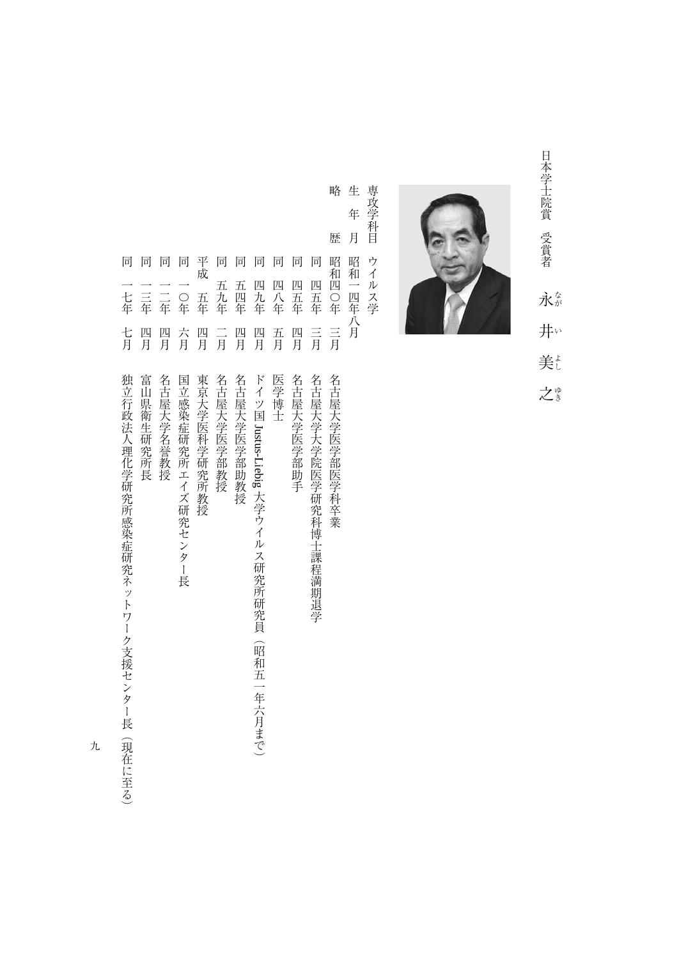日本学士院賞 受賞者 - 『日本学生』 - 『日本学生』 - 『日本学生』 - 『日本学生』 - 『日本学生』 - 『『 永な さいしょう こうしょう こうしゃ こうしゃ アクセストラック しゅうしゃ かんきょう しゅうしゅう しゅうしゅう しゅうしゅう しゅうしゃ アクセストラック しゅうしゃ 井い 美 之き



生 専攻学科目 生年月昭和一四年八月 専攻学科目ウイルス学 年 月 ウイルス学 昭和一四年八月

略

- 歴 昭和四〇年 同 同 同 同 四九年 四八年 四五年 四五年 三月 三月 四月 五月 四月
- 『『『『『『『『『『『『『『『『『『『『『『『『』』』 『『『『『『』』 『『『』 』 『『』 』 『『』 』 『『』 』 『『』 』 『『』 』 『『』 』 『『』 』 『『』 』 『『』 』 『『』 』 『『』 』 『『』 』 『『』 』 『『』 』 『『』 』 『『』 』 『『』 』 『『』 』 『『』 』 『『』 』 『『』 』 『『』 』 『『』 』 『『』 』 『『』 』 『『』 』 『『』 』 『『』 』 『『』 』 『『』 名古屋大学医学部医学科卒業
	- 同四五年三月名古屋大学大学院医学研究科博士課程満期退学 名古屋大学大学院医学研究科博士課程満期退学
	- 名古屋大学医学部助手
	- 同四五年四月名古屋大学医学部助手
	- 一月 はんしゃ こうしょう しょうしょう 医学博士
- ドイツ国 Justus-Liebig 大学ウイルス研究所研究員 Justus-Liebig 大学ウイルス研究所研究員(昭和五一年六月まで) (昭和五一年六月まで)
- 同五四年四月名古屋大学医学部 あまま こうしゅう こうしゅう こうしゅう こうしゅう こうしゅう こうしゅう こうしゅう こうしゅう こうしゅう こうしゅう こうしゅう こうしゅう こうしゃ こうしゃ こうしゃ こうしゃ 五四年 四月 名古屋大学医学部助教授
- 五九年  $\frac{-}{\overline{H}}$ 名古屋大学医学部教授

一月名古屋大学医学家教授 医心理学家 医心理学家 医心理学家 医心理学家 医心理学家 医心理学家 医心理学家 医心理学家 医心理学家 医心理学家 医心理学家 医心理学家

平成五年四月 長宗大学医学医学研究所教授 医心包膜炎 医心包膜炎 医心包膜炎 医心包膜炎 医心包膜炎 医心包膜炎 医心包膜炎 医心包膜炎 医心包膜炎 医心包膜炎 医心包膜炎 医心包膜炎 医心包膜炎 医心包膜炎 医心包膜炎 四月 東京大学医科学研究所教授

平成

五年

同 同

- 同一〇年六月国立感染症研究所エイズ研究センター長 六月 国立感染症研究所エイズ研究センター長
- 四月 名古屋大学名誉教授

 $\boxed{\overrightarrow{\Pi}}$ 

同

一〇年

同

同

一年四月名古屋大学名誉教授 (1888年11月21日) - 1882年11月21日 - 1882年11月21日 - 1882年11月21日 - 1882年11月21日 二三年 二三年 四月 富山県衛生研究所長

同一年四月富山県 一年一月富山県 一年一月富山県 一年一月富山県

日本大学の こうしゅう しゅうしゅ こうしゅう こうしゅう こうしゅう こうしゅう こうしゅう こうしゅう こうしゅう こうしゅう こうしゅう こうしゅう こうしゅう 七年 七月 独立行政法人理化学研究所感染症研究ネットワーク支援センター長(現在に至る)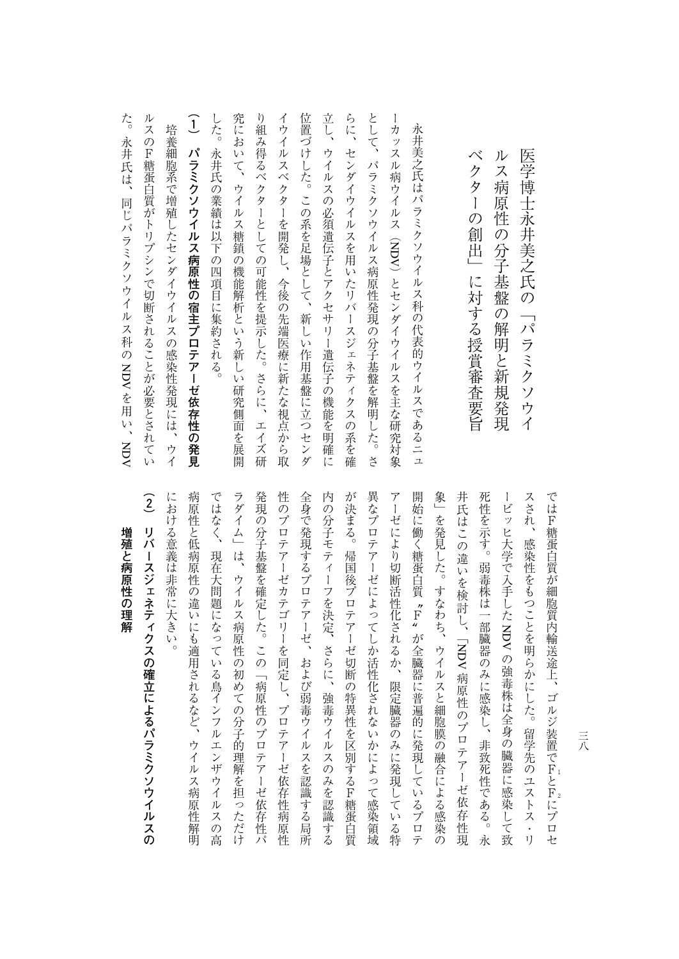| た。<br>永<br>井<br>:氏は、<br>同じパラミクソウ<br>$\lambda$<br>ルス<br>科<br>のNDVを用<br>い、<br><b>NOV</b>                                                                         |
|----------------------------------------------------------------------------------------------------------------------------------------------------------------|
| ル<br>ス<br>の<br>F<br>糖蛋白質がトリ<br>プシン<br>で切断され<br>ることが<br>必要とされ<br>$\tau$<br><mark>ر</mark> با                                                                    |
| 培養細胞系で増殖<br>したセ<br>$\checkmark$<br>ダ<br>$\vec{\mathcal{A}}$<br>ゥ<br>$\vec{\mathcal{A}}$<br>ル<br>ス<br>$\mathcal{O}$<br>感染性発現<br>ĺΞ<br>Ϊţ<br>$\lambda$<br>ゥ<br>イ |
| $\widehat{1}$<br>パラミク<br>ソウ<br>イルス<br>病原性の<br>宿主プロテア<br>ーゼ依存性の発見                                                                                               |
| した。<br>永<br>并氏<br>の<br>業績<br>Ϊť<br>以<br>$\bar{\bm{\mathsf{T}}}$<br>$\overline{O}$<br>四項目<br>に集約される<br>$\circ$                                                  |
| 究に<br>お<br>r y<br>ζ<br>ゥ<br>$\mathcal{A}_{\mathcal{A}}$<br>$J\mathcal{V}$<br>ス<br>八糖鎖<br>の機能解析という新<br>L<br>$\sqrt{ }$<br>研究側面を展開                               |
| Ŋ<br>組<br>み<br>得る<br>$\mathcal{N}_{\mathcal{C}}$<br>ク<br>タ<br>$\,$ $\,$<br>とし<br>ての可能性を提示<br>L<br>た。<br>さらに、<br>工<br>イズ<br>研                                   |
| イウイ<br>$J\mathcal{V}$<br>ス<br>ベクター<br>を開発<br>Ļ<br>今後の先端医療に新<br>た<br>な視点から取                                                                                     |
| 位置づ<br>け<br>した。<br>$\tilde{\phantom{a}}$<br>$\mathcal{O}$<br>系を足場として、<br>新しい<br>作用基盤<br>に立つ<br>七<br>$\checkmark$<br>ダ                                          |
| 立し、<br>ウイ<br>ル<br>ス<br>$\mathcal{O}$<br>必須遺伝子とアクセ<br>チ<br>リー遺伝子の機能を明確<br>ÏΞ                                                                                    |
| らに、<br>セン<br>$\overline{z}$<br>イウ<br>$\mathcal{X}$<br>ル<br>スを用<br>W<br>た<br>IJ<br>バ<br>$\,$ $\,$<br>ス<br>ジェネテ<br>$\mathcal{A}$<br>ク<br>ス<br>の<br>系を確           |
| とし<br>$\tilde{\zeta}$<br>パラミク<br>ソ<br>ゥ<br>$\lambda$<br>ルス病原性発現<br>の分子基盤を<br>解明<br>Ü<br>た。<br>さ                                                                |
| 1<br>カ<br>ッ<br>ス<br>ル<br>病<br>ウイ<br>$J\overline{V}$<br>ス<br>(NDV)とセンダ<br>イウイ<br>$J\mathcal{V}$<br>スを主な<br>研究対象                                                 |
| 永井美之氏はパラミクソウイ<br>ルス科<br>の代表的ウイ<br>ルスであるニュ                                                                                                                      |
|                                                                                                                                                                |
| べ<br>ク<br>タ<br>Ì<br>の<br>創<br>世<br>に<br>対する<br>授賞審査要旨                                                                                                          |
| ル<br>ス<br>病<br>原<br>性<br>の分子基<br>盤<br>の<br>解<br>明と新<br>規<br>発<br>頊                                                                                             |
| 医学博士永井美之<br>!氏<br>の<br>「パラミク<br>ソ<br>ウ<br>$\overline{\Lambda}$                                                                                                 |

| 増殖と病原性の理解                                                                                                                                                                                                                                                                                                                                                                                                                                                                                   |
|---------------------------------------------------------------------------------------------------------------------------------------------------------------------------------------------------------------------------------------------------------------------------------------------------------------------------------------------------------------------------------------------------------------------------------------------------------------------------------------------|
| $\widehat{2}$<br>リバ<br>I<br>スジェネティ<br>クスの確立によるパラミクソウイルスの                                                                                                                                                                                                                                                                                                                                                                                                                                    |
| におけ<br>る意義は<br>非常に大き<br><mark>۷۱</mark><br>$\circ$                                                                                                                                                                                                                                                                                                                                                                                                                                          |
| 病原性<br>と低病原性<br> の違い<br>にも適用されるなど、<br>ウイルス病原性解明                                                                                                                                                                                                                                                                                                                                                                                                                                             |
| ではなく、<br>現在大問題になっている鳥インフルエ<br>ンザウイ<br>ルス<br>の高                                                                                                                                                                                                                                                                                                                                                                                                                                              |
| ラダイ<br>$\overline{\phantom{a}}$<br>は、ウイルス病原性の初めての分子的理解を担っ<br>ただけ                                                                                                                                                                                                                                                                                                                                                                                                                            |
| 発現<br>の分子基盤を確定した。<br>この<br>「病原性のプロテア<br>$\overline{1}$<br>ゼ依存性パ                                                                                                                                                                                                                                                                                                                                                                                                                             |
| 性<br>$\overline{\mathcal{O}}$<br>プ<br>ロテアー<br>ゼカテゴ<br>リーを同定し、プロテ<br>アー<br>ゼ依存性病<br>原性                                                                                                                                                                                                                                                                                                                                                                                                       |
| 全身で発現する<br>プロテア<br>ーゼ、<br>および弱毒ウイ<br>$\mathcal{V}$<br>スを認識する局所                                                                                                                                                                                                                                                                                                                                                                                                                              |
| 内<br>の分子モティ<br>$\begin{array}{c} \rule{0pt}{2ex} \rule{0pt}{2ex} \rule{0pt}{2ex} \rule{0pt}{2ex} \rule{0pt}{2ex} \rule{0pt}{2ex} \rule{0pt}{2ex} \rule{0pt}{2ex} \rule{0pt}{2ex} \rule{0pt}{2ex} \rule{0pt}{2ex} \rule{0pt}{2ex} \rule{0pt}{2ex} \rule{0pt}{2ex} \rule{0pt}{2ex} \rule{0pt}{2ex} \rule{0pt}{2ex} \rule{0pt}{2ex} \rule{0pt}{2ex} \rule{0pt}{2ex} \rule{0pt}{2ex} \rule{0pt}{2ex} \rule{0pt}{2ex} \rule{0pt}{$<br>フを決定、<br>さらに、<br>強毒ウ<br>$\mathcal{X}$<br>ル<br>スの<br>みを認識する |
| が決まる。<br>帰国後プロテアー<br>ゼ切断<br>の特異性を区別するF糖蛋白質                                                                                                                                                                                                                                                                                                                                                                                                                                                  |
| 異なプ<br>ロテアーゼによってしか活性化されないかによって感染領域                                                                                                                                                                                                                                                                                                                                                                                                                                                          |
| $\overline{\mathcal{r}}$<br>ーゼ<br>により切断活性化されるか、<br>限定臓器のみに発現している特                                                                                                                                                                                                                                                                                                                                                                                                                           |
| 開始に<br>.<br>働<br>く糖蛋白質 〝F〟<br>が全臓器に普遍的に発現している<br>ラ<br>ロテ                                                                                                                                                                                                                                                                                                                                                                                                                                    |
| 象<br>を発見した。<br>すなわち、<br>ウイルスと細胞膜の融合による感染<br>の                                                                                                                                                                                                                                                                                                                                                                                                                                               |
| 井氏はこの違いを検討し、<br>「NDV 病原性のプロテアーゼ依存<br>性<br>頊                                                                                                                                                                                                                                                                                                                                                                                                                                                 |
| 死性を示す。<br>弱毒株は一部臓器のみに感染し、<br>非致死性である。<br>永                                                                                                                                                                                                                                                                                                                                                                                                                                                  |
| ビッ<br>ヒ大学で入手した NDV の強毒株は全身の臓器に感染して致                                                                                                                                                                                                                                                                                                                                                                                                                                                         |
| スされ、<br>感染性をもつことを明らかにした。<br>留学先のユストス<br>$\bullet$<br><sup>1</sup>                                                                                                                                                                                                                                                                                                                                                                                                                           |
| ではF糖蛋白質が細胞質内輸送途上、ゴルジ装置でFとFにプロセ                                                                                                                                                                                                                                                                                                                                                                                                                                                              |

 $\bar{a}$ 三八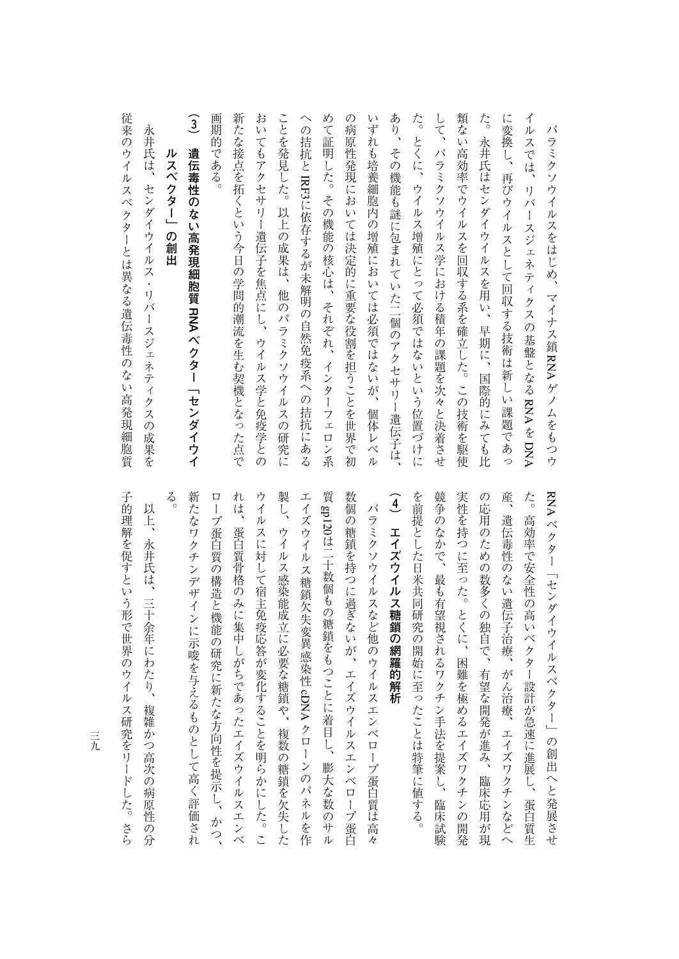| 永井氏は、<br>センダイウイルス<br>・リバースジェネティクスの成果を                                  |
|------------------------------------------------------------------------|
| ル<br>スベクター」の創出                                                         |
| $\widehat{3}$<br>遺伝毒<br>性<br>$\sigma$<br>ない高発現細胞質 RNA ベクター「センダイウイ      |
| 画期的<br>である。                                                            |
| 新た<br>な接点を拓くという今日の学問的潮流を生む契機となった点で                                     |
| お<br>いてもアクセサリー遺伝子を焦点にし、ウイルス学と免疫学との                                     |
| ことを発見した。<br>以上の成果は、<br>他のパラミクソウイル<br>$\overline{\lambda}$<br>の<br>)研究に |
| への<br>拮抗と IRF3に依存するが未解明の自然免疫系への拮抗<br>ににあ<br>$\overline{\mathcal{L}}$   |
| め<br>て証明した。その機能の核心は、それぞれ、インターフェ<br>$\Box$<br>$\mathcal{V}$<br>.<br>系   |
| の<br>病原性発現においては決定的に重要な役割を担うことを世界で初                                     |
| いずれも培養細胞内の増殖においては必須ではないが、<br>個体レベル                                     |
| あり、<br>その機能も謎に包まれていた二個のアクセサリー遺伝子は、                                     |
| た。<br>とくに、ウイルス増殖にとって必須ではないという位置づけに                                     |
| して、<br>パラミクソウイルス学における積年の課題を次々と決着させ                                     |
| 類ない高効率でウイルスを回収する系を確立した。この技術を駆使                                         |
| た。<br>永井氏はセンダイウイルスを用い、早期に、<br>国際的にみても比                                 |
| に変換し、再びウイルスとして回収する技術は新しい課題であっ                                          |
| イルスでは、リバ<br>ースジェネティクスの基盤となる RNAを DNA                                   |
| パラミクソウイルスをはじめ、<br>マイナス鎖 RNA ゲノムをもつウ                                    |

従来のウイルスベクターとは異なる遺伝毒性のない高発現細胞質 永井氏は、センダイウイルス・リバースジェネティクスの成果を

従来のウイルスベクターとは異なる遺伝毒性のない高発現細胞質

産、 RNA ベクター「センダイウイルスベクター」の創出へと発展させ (4) エイズウイルス糖鎖の網羅的解析 を前提とした日米共同研究の開始に至ったことは特筆に値する。 競争のなかで、最も有望視されるワクチン手法を提案し、臨床試験 実性を持つに至った。とくに、困難を極めるエイズワクチンの開発 の応用のための数多くの独自で、有望な開発が進み、臨床応用が現 た。高効率で安全性の高いベクター設計が急速に進展し、蛋白質生 **(4)エイズウイルス糖鎖の網羅的解析** を前提とした日米共同研究の開始に至ったことは特筆に値する。 、最も有望視されるワクチン手法を提案し、最も有望視されるワクチン手法を提案し、最も有望視されるワクチン手法を提案し、最も有望視されるワクチン手法を提案し、最も有望視されるワクチン手法を提案し、最も有望 実性を持つに至った。とくに、困難を極めるエイズワクチンの開発 の応用のための数多くの結果が提供されている。 こうしゃ こうしゅう あいしょう こうしゅう あいしゃ こうしゅう こうしゅう こうしゅう こうしゅう こうしゅう こうしゅう こうしゅう こうしゅう こうしゅう こうしゅう 産、遺伝毒性のない遺伝子治療、がん治療、エイズワクチンなどへ た。高効率で安全性の高いベクター設計が急速に進展し、蛋白質生 パラミクソウイルスなど他のウイルスエンベロープ蛋白質は高々 遺伝毒性のない遺伝子治療、がん治療、エイズワクチンなどへ パラミクソウイルス はっきゅうしゅぎ しゅうしゅう しゅうしゅう しゅうしゅう しゅうしゅう しゅうしゅうしゅう しゅうしゅうしゅうしゅうしゅ ヘクター しゅうしゅう しゅうしゅう しゅうしゅう しゅうしゅう しゅうしゅう しゅうしゅう しゅうしゅう しゅうしゅう しゅうしゅうしゅ

 $\zeta$ 新たなワクチンデザインに示唆を与えるものとして高く評価され ロープ蛋白質の構造と機能の研究に新たな方向性を提示し、かつ、 れは、蛋白質骨格のみに集中しがちであったエイズウイルスエンベ ウイルスに対して宿主免疫応答が変化することを明らかにした。こ 製し、ウイルス感染能成立に必要な糖鎖や、複数の糖鎖を欠失した エイズウイルス糖鎖欠失変異感染性 cDNA クローンのパネルを作 数個の糖鎖を持つに過ぎないが、エイズウイルスエンベロープ蛋白 新たなワクチンデザインに示唆を与えるものとして高く評価され ロープス ロープ エネー・エネー エネー・エネー エネー・エネー エネー・エネー エネー・エネー エネー・エネー しゅうしゅう こうしゅう こうしゅう こうしゅう こうしゅう れは、蛋白質骨格のみに集中しがちであったエイズウイルスエンベ ウイルスに対して宿主保安に対して宿主保安に対して宿主保安に対して宿主保安に対して宿主保安に対して宿主保安に対して宿主保安に対して宿主保安に対して宿主保安に対して宿主保安に対して宿主保安に対して宿主保安 ついて、ウイルス感染能成立に多くの種類を欠失した。 こうしゅう こうしゅう こうしゅう こうしゅう こうしゅう こうしゅうしゅ エイズウイルス糖鎖欠失変異感染性質gp120オンター はんしゅう エイズウイルスエンベローズ しゅうしゅう こうしゅう こうしゅう こうしゅう こうしゅう こうしゅう こうしゅう こうしゅう こうしゅう こうしゅう もの様には「ことに着る」とは「ことに着る」とは「ことに着る」ということによるようになるのは、「ことに着る」ということによるようになるのは、「ことにはある」ということによるようになるのは、「ことにはある クローンのパネルを作

子的理解を促すという形で世界のウイルス研究をリードした。さら 子の理解を促すことができる (1) このこと スポーツ (1) このこと スポーツ (1) このこと スポーツ (1) このこと スポーツ (1) このこと このこと (1) このこと (1) このこと (1) このこと (1) このこと (1) このこと (1) このこと (1) このこと (1) このこと (1) このこと (1) このこと (1) このこと (1) 以上、永井氏は、三十余年にわたり、複雑かつ高次の病原性の分 上、永井氏は、三十余年にわたり、複雑かつ高次の病原性の分

三元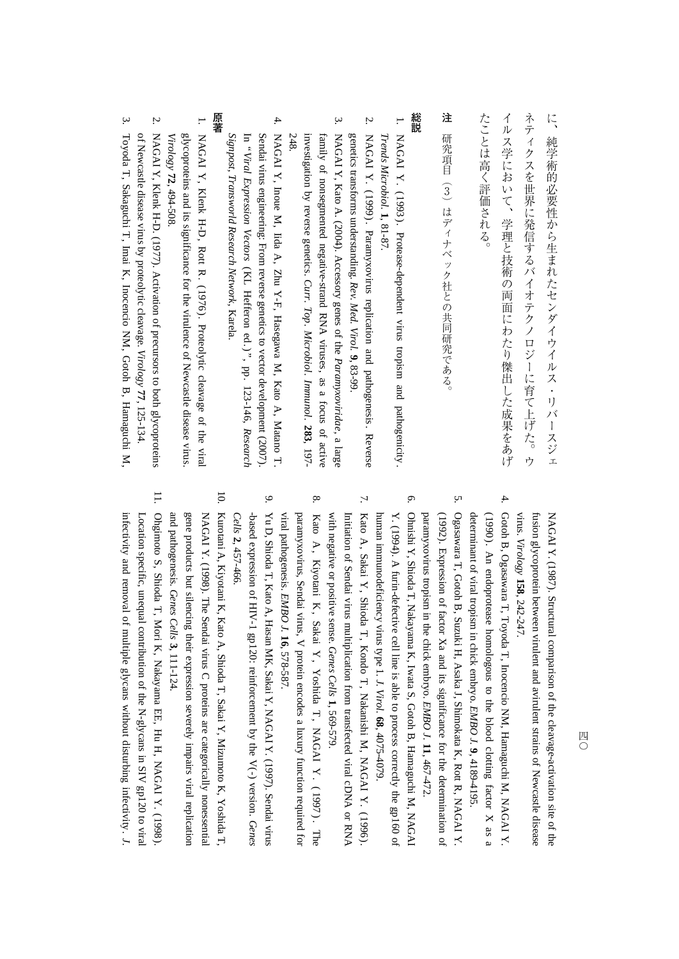に

**注**

- 1. NAGAI $Y. (1993)$ . Protease-dependent virus tropism and pathogenicity . *Trends Microbiol.* **1**, 81-87.
- 2. NAGAIY. (1999). Paramyxovirus replication and pathogenesis . Reverse genetics transforms understanding. *Rev. Med. Virol.* **9**, 83-99.
- 3. NAGAI Y, Kato A. (2004). Accessory genes<u>ຊ</u> the *Paramyxoviridae,* a large family $\mathbf{a}$  nonsegmented negative-strand RNA viruses, as a focus of active investigation $\mathsf{\acute{e}}$  reverse genetics. *Curr. Top. Microbiol. Immunol.* **283**, 197- 248.
- 4. NAGAI $\preceq$  Inoue $\mathbb{X}$  Iida A, Zhu Y-F, Hasegawa M, Kato A, Matano T. In "Viral Sendai virus engineering: From reverse genetics to vector development (2007).  *Expression Vectors*  $\widehat{\texttt{R}}$  Hefferon ed.)", pp. 123-146, *Research Signpost, Transworld Research Network,* Karela.

- **.**  NAGAI Y, Klenk H-D, RottR. (1976). Proteolytic cleavage<u>ຊ</u> the viral *Virology* glycoproteins and its significance for the virulence of Newcastle disease virus. **72**, 494-508.
- 2. NAGAI Y, Klenk H-D. (1977). Activation of precursors $\overline{\sigma}$  both glycoproteins ቧ Newcastle disease virus $\mathsf s$  proteolytic cleavage. *Virology* **77**, 125-134.
- 3. Toyoda T, Sakaguchi T, Imai K, Inocencio NM, Gotoh B, HamaguchiM,

NAGAI Y. (1987). Structural comparison<u>ຊ</u> the cleavage-activation site<u>ຊ</u> the fusion glycoprotein between virulent and avirulent strains of Newcastle disease virus. *Virology* **158**, 242-247.

- 4. Gotoh B, Ogasawara T, Toyoda T, Inocencio NM, Hamaguchi $\mathbb{X}$  NAGAI Y. (1990 ). An endoprotease homologous to the blood clotting factor X as a determinant<u>ຊ</u> viral tropism in chick embryo. *EMBO J.* **9**, 4189-4195.
- Ogasawara T, Gotoh B, Suzuki H, Asaka J, Shimokata K, Rott R, NAGAI Y. (1992). Expression of factor Xa and its significance for the determination of paramyxovirus tropism in the chick embryo. *EMBO J.* **11**, 467-472.

5.

6.

- Ohnishi Y, Shioda T, Nakayama K, Iwata S, Gotoh B, Hamaguchi $\mathbb{X}$  NAGAI Y. (1994). A furin-defective cell line is able $\overline{\sigma}$  process correctly the gp160 of human immunodeficiency virus type 1. *J. Virol.* **68**, 4075-4079.
- 7. Kato A, Sakai Y, Shioda T, Kondo T, Nakanishi $\mathbf{N}$  NAGAI $Y.$  (1996). with negative or positive sense. Initiation of Sendai virus multiplication from transfected viral cDNA or RNA *Genes Cells* **1**, 569-579.
- 8. KatoA, Kiyotani K, Sakai Y , Yoshida T , NAGAI $Y$ . (1997). The viral pathogenesis. paramyxovirus, Sendai virus, $\prec$  protein encodes a luxury function required for *EMBO J.* **16**, 578-587.
- 9. $\mathbb{R}$  D, Shioda T, Kato A, Hasan MK, Sakai Y, NAGAI Y. (1997). Sendai virus -based expression 요, HIV-1 gp120: reinforcement by the $\lesssim$  version. *Genes Cells* **2**, 457-466.
- 10.Kurotani A, Kiyotani K, Kato A, Shioda T, Sakai Y, Mizumoto K, Yoshida T, an dgene products but silencing their expression severely impairs viral replication NAGAI Y. (1998). The Sendai virus C proteins are categorically nonessential pathogenesis. *Genes Cells* **3**, 111-124.
- 11. Ohgimoto S, Shioda T, Mori K, Nakayama EE, Hu H, NAGAI Y. (1998). infectivity and removal<u>ຊ</u> m ultipleLocation specific, unequal contribution of the N-glycans in SIV gp120 $\overline{\sigma}$  viral glycans without disturbing infectivity. *J.*